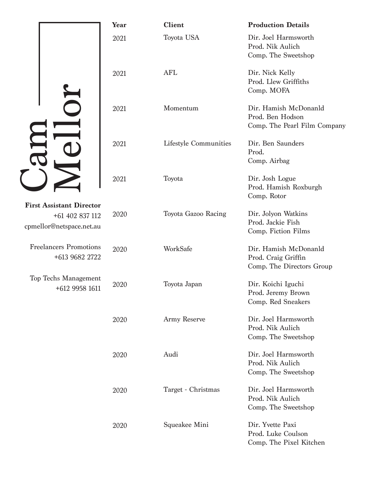|  |                                                                                | Year | <b>Client</b>         | <b>Production Details</b>                                                 |
|--|--------------------------------------------------------------------------------|------|-----------------------|---------------------------------------------------------------------------|
|  |                                                                                | 2021 | Toyota USA            | Dir. Joel Harmsworth<br>Prod. Nik Aulich<br>Comp. The Sweetshop           |
|  |                                                                                | 2021 | <b>AFL</b>            | Dir. Nick Kelly<br>Prod. Llew Griffiths<br>Comp. MOFA                     |
|  |                                                                                | 2021 | Momentum              | Dir. Hamish McDonanld<br>Prod. Ben Hodson<br>Comp. The Pearl Film Company |
|  |                                                                                | 2021 | Lifestyle Communities | Dir. Ben Saunders<br>Prod.<br>Comp. Airbag                                |
|  |                                                                                | 2021 | Toyota                | Dir. Josh Logue<br>Prod. Hamish Roxburgh<br>Comp. Rotor                   |
|  | <b>First Assistant Director</b><br>+61 402 837 112<br>cpmellor@netspace.net.au | 2020 | Toyota Gazoo Racing   | Dir. Jolyon Watkins<br>Prod. Jackie Fish<br>Comp. Fiction Films           |
|  | <b>Freelancers Promotions</b><br>+613 9682 2722                                | 2020 | WorkSafe              | Dir. Hamish McDonanld<br>Prod. Craig Griffin<br>Comp. The Directors Group |
|  | Top Techs Management<br>+612 9958 1611                                         | 2020 | Toyota Japan          | Dir. Koichi Iguchi<br>Prod. Jeremy Brown<br>Comp. Red Sneakers            |
|  |                                                                                | 2020 | Army Reserve          | Dir. Joel Harmsworth<br>Prod. Nik Aulich<br>Comp. The Sweetshop           |
|  |                                                                                | 2020 | Audi                  | Dir. Joel Harmsworth<br>Prod. Nik Aulich<br>Comp. The Sweetshop           |
|  |                                                                                | 2020 | Target - Christmas    | Dir. Joel Harmsworth<br>Prod. Nik Aulich<br>Comp. The Sweetshop           |
|  |                                                                                | 2020 | Squeakee Mini         | Dir. Yvette Paxi<br>Prod. Luke Coulson<br>Comp. The Pixel Kitchen         |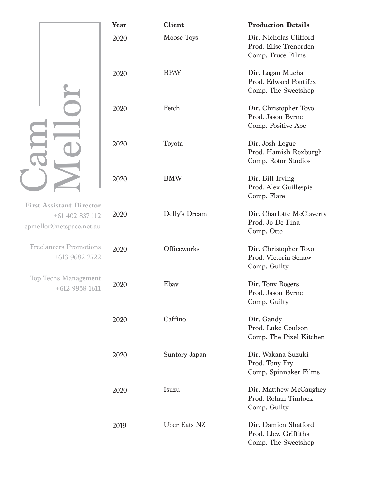|                                                                                | Year | <b>Client</b> | <b>Production Details</b>                                            |
|--------------------------------------------------------------------------------|------|---------------|----------------------------------------------------------------------|
|                                                                                | 2020 | Moose Toys    | Dir. Nicholas Clifford<br>Prod. Elise Trenorden<br>Comp. Truce Films |
|                                                                                | 2020 | <b>BPAY</b>   | Dir. Logan Mucha<br>Prod. Edward Pontifex<br>Comp. The Sweetshop     |
|                                                                                | 2020 | Fetch         | Dir. Christopher Tovo<br>Prod. Jason Byrne<br>Comp. Positive Ape     |
|                                                                                | 2020 | Toyota        | Dir. Josh Logue<br>Prod. Hamish Roxburgh<br>Comp. Rotor Studios      |
|                                                                                | 2020 | <b>BMW</b>    | Dir. Bill Irving<br>Prod. Alex Guillespie<br>Comp. Flare             |
| <b>First Assistant Director</b><br>+61 402 837 112<br>cpmellor@netspace.net.au | 2020 | Dolly's Dream | Dir. Charlotte McClaverty<br>Prod. Jo De Fina<br>Comp. Otto          |
| <b>Freelancers Promotions</b><br>+613 9682 2722                                | 2020 | Officeworks   | Dir. Christopher Tovo<br>Prod. Victoria Schaw<br>Comp. Guilty        |
| <b>Top Techs Management</b><br>+612 9958 1611                                  | 2020 | Ebay          | Dir. Tony Rogers<br>Prod. Jason Byrne<br>Comp. Guilty                |
|                                                                                | 2020 | Caffino       | Dir. Gandy<br>Prod. Luke Coulson<br>Comp. The Pixel Kitchen          |
|                                                                                | 2020 | Suntory Japan | Dir. Wakana Suzuki<br>Prod. Tony Fry<br>Comp. Spinnaker Films        |
|                                                                                | 2020 | Isuzu         | Dir. Matthew McCaughey<br>Prod. Rohan Timlock<br>Comp. Guilty        |
|                                                                                | 2019 | Uber Eats NZ  | Dir. Damien Shatford<br>Prod. Llew Griffiths<br>Comp. The Sweetshop  |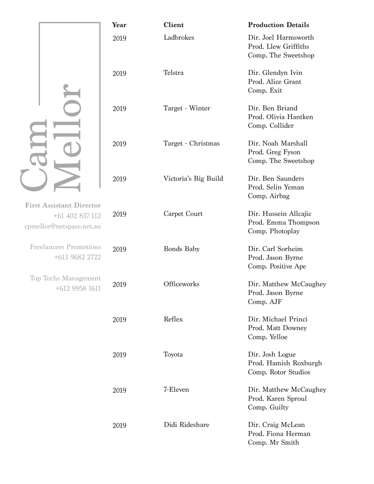|                                                                                | Year | <b>Client</b>        | <b>Production Details</b>                                           |
|--------------------------------------------------------------------------------|------|----------------------|---------------------------------------------------------------------|
|                                                                                | 2019 | Ladbrokes            | Dir. Joel Harmsworth<br>Prod. Llew Griffiths<br>Comp. The Sweetshop |
|                                                                                | 2019 | Telstra              | Dir. Glendyn Ivin<br>Prod. Alice Grant<br>Comp. Exit                |
|                                                                                | 2019 | Target - Winter      | Dir. Ben Briand<br>Prod. Olivia Hantken<br>Comp. Collider           |
|                                                                                | 2019 | Target - Christmas   | Dir. Noah Marshall<br>Prod. Greg Fyson<br>Comp. The Sweetshop       |
|                                                                                | 2019 | Victoria's Big Build | Dir. Ben Saunders<br>Prod. Selin Yeman<br>Comp. Airbag              |
| <b>First Assistant Director</b><br>+61 402 837 112<br>cpmellor@netspace.net.au | 2019 | Carpet Court         | Dir. Hussein Allcajic<br>Prod. Emma Thompson<br>Comp. Photoplay     |
| <b>Freelancers Promotions</b><br>+613 9682 2722                                | 2019 | <b>Bonds Baby</b>    | Dir. Carl Sorheim<br>Prod. Jason Byrne<br>Comp. Positive Ape        |
| <b>Top Techs Management</b><br>+612 9958 1611                                  | 2019 | Officeworks          | Dir. Matthew McCaughey<br>Prod. Jason Byrne<br>Comp. AJF            |
|                                                                                | 2019 | Reflex               | Dir. Michael Princi<br>Prod. Matt Downey<br>Comp. Yelloe            |
|                                                                                | 2019 | Toyota               | Dir. Josh Logue<br>Prod. Hamish Roxburgh<br>Comp. Rotor Studios     |
|                                                                                | 2019 | 7-Eleven             | Dir. Matthew McCaughey<br>Prod. Karen Sproul<br>Comp. Guilty        |
|                                                                                | 2019 | Didi Rideshare       | Dir. Craig McLean<br>Prod. Fiona Herman<br>Comp. Mr Smith           |